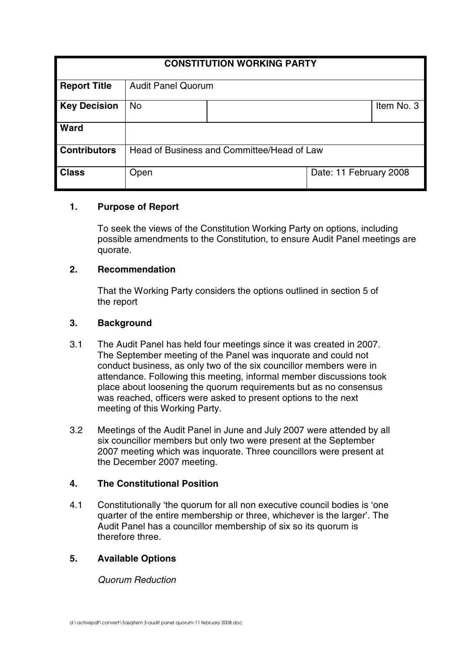| <b>CONSTITUTION WORKING PARTY</b> |                                            |  |                        |            |
|-----------------------------------|--------------------------------------------|--|------------------------|------------|
| <b>Report Title</b>               | <b>Audit Panel Quorum</b>                  |  |                        |            |
| <b>Key Decision</b>               | <b>No</b>                                  |  |                        | Item No. 3 |
| <b>Ward</b>                       |                                            |  |                        |            |
| <b>Contributors</b>               | Head of Business and Committee/Head of Law |  |                        |            |
| <b>Class</b>                      | Open                                       |  | Date: 11 February 2008 |            |

## **1. Purpose of Report**

To seek the views of the Constitution Working Party on options, including possible amendments to the Constitution, to ensure Audit Panel meetings are quorate.

### **2. Recommendation**

That the Working Party considers the options outlined in section 5 of the report

### **3. Background**

- 3.1 The Audit Panel has held four meetings since it was created in 2007. The September meeting of the Panel was inquorate and could not conduct business, as only two of the six councillor members were in attendance. Following this meeting, informal member discussions took place about loosening the quorum requirements but as no consensus was reached, officers were asked to present options to the next meeting of this Working Party.
- 3.2 Meetings of the Audit Panel in June and July 2007 were attended by all six councillor members but only two were present at the September 2007 meeting which was inquorate. Three councillors were present at the December 2007 meeting.

## **4. The Constitutional Position**

4.1 Constitutionally 'the quorum for all non executive council bodies is 'one quarter of the entire membership or three, whichever is the larger'. The Audit Panel has a councillor membership of six so its quorum is therefore three.

## **5. Available Options**

Quorum Reduction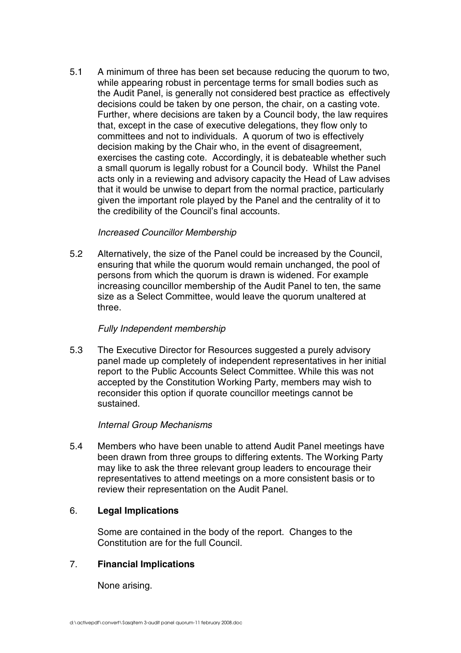5.1 A minimum of three has been set because reducing the quorum to two, while appearing robust in percentage terms for small bodies such as the Audit Panel, is generally not considered best practice as effectively decisions could be taken by one person, the chair, on a casting vote. Further, where decisions are taken by a Council body, the law requires that, except in the case of executive delegations, they flow only to committees and not to individuals. A quorum of two is effectively decision making by the Chair who, in the event of disagreement, exercises the casting cote. Accordingly, it is debateable whether such a small quorum is legally robust for a Council body. Whilst the Panel acts only in a reviewing and advisory capacity the Head of Law advises that it would be unwise to depart from the normal practice, particularly given the important role played by the Panel and the centrality of it to the credibility of the Council's final accounts.

### Increased Councillor Membership

5.2 Alternatively, the size of the Panel could be increased by the Council, ensuring that while the quorum would remain unchanged, the pool of persons from which the quorum is drawn is widened. For example increasing councillor membership of the Audit Panel to ten, the same size as a Select Committee, would leave the quorum unaltered at three.

#### Fully Independent membership

5.3 The Executive Director for Resources suggested a purely advisory panel made up completely of independent representatives in her initial report to the Public Accounts Select Committee. While this was not accepted by the Constitution Working Party, members may wish to reconsider this option if quorate councillor meetings cannot be sustained.

#### Internal Group Mechanisms

5.4 Members who have been unable to attend Audit Panel meetings have been drawn from three groups to differing extents. The Working Party may like to ask the three relevant group leaders to encourage their representatives to attend meetings on a more consistent basis or to review their representation on the Audit Panel.

## 6. **Legal Implications**

Some are contained in the body of the report. Changes to the Constitution are for the full Council.

## 7. **Financial Implications**

None arising.